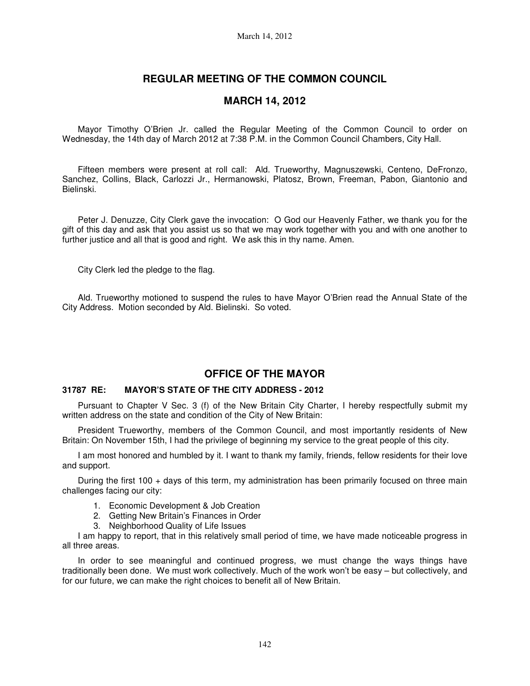# **REGULAR MEETING OF THE COMMON COUNCIL**

## **MARCH 14, 2012**

Mayor Timothy O'Brien Jr. called the Regular Meeting of the Common Council to order on Wednesday, the 14th day of March 2012 at 7:38 P.M. in the Common Council Chambers, City Hall.

Fifteen members were present at roll call: Ald. Trueworthy, Magnuszewski, Centeno, DeFronzo, Sanchez, Collins, Black, Carlozzi Jr., Hermanowski, Platosz, Brown, Freeman, Pabon, Giantonio and Bielinski.

Peter J. Denuzze, City Clerk gave the invocation: O God our Heavenly Father, we thank you for the gift of this day and ask that you assist us so that we may work together with you and with one another to further justice and all that is good and right. We ask this in thy name. Amen.

City Clerk led the pledge to the flag.

Ald. Trueworthy motioned to suspend the rules to have Mayor O'Brien read the Annual State of the City Address. Motion seconded by Ald. Bielinski. So voted.

# **OFFICE OF THE MAYOR**

### **31787 RE: MAYOR'S STATE OF THE CITY ADDRESS - 2012**

Pursuant to Chapter V Sec. 3 (f) of the New Britain City Charter, I hereby respectfully submit my written address on the state and condition of the City of New Britain:

President Trueworthy, members of the Common Council, and most importantly residents of New Britain: On November 15th, I had the privilege of beginning my service to the great people of this city.

I am most honored and humbled by it. I want to thank my family, friends, fellow residents for their love and support.

During the first 100 + days of this term, my administration has been primarily focused on three main challenges facing our city:

- 1. Economic Development & Job Creation
- 2. Getting New Britain's Finances in Order
- 3. Neighborhood Quality of Life Issues

I am happy to report, that in this relatively small period of time, we have made noticeable progress in all three areas.

In order to see meaningful and continued progress, we must change the ways things have traditionally been done. We must work collectively. Much of the work won't be easy – but collectively, and for our future, we can make the right choices to benefit all of New Britain.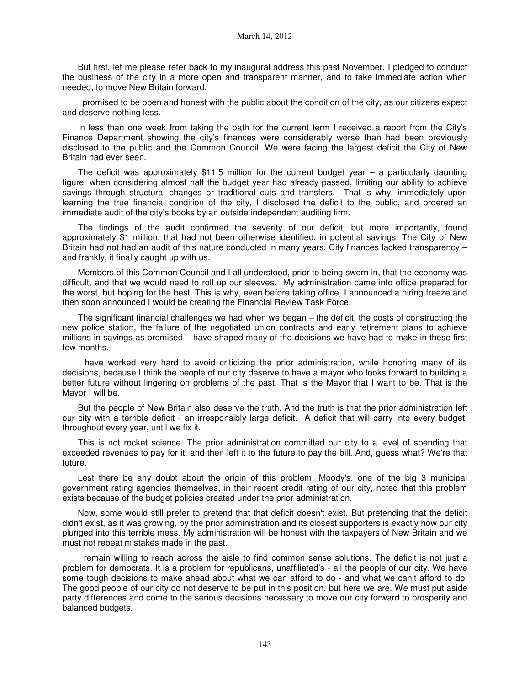But first, let me please refer back to my inaugural address this past November. I pledged to conduct the business of the city in a more open and transparent manner, and to take immediate action when needed, to move New Britain forward.

I promised to be open and honest with the public about the condition of the city, as our citizens expect and deserve nothing less.

In less than one week from taking the oath for the current term I received a report from the City's Finance Department showing the city's finances were considerably worse than had been previously disclosed to the public and the Common Council. We were facing the largest deficit the City of New Britain had ever seen.

The deficit was approximately \$11.5 million for the current budget year  $-$  a particularly daunting figure, when considering almost half the budget year had already passed, limiting our ability to achieve savings through structural changes or traditional cuts and transfers. That is why, immediately upon learning the true financial condition of the city, I disclosed the deficit to the public, and ordered an immediate audit of the city's books by an outside independent auditing firm.

The findings of the audit confirmed the severity of our deficit, but more importantly, found approximately \$1 million, that had not been otherwise identified, in potential savings. The City of New Britain had not had an audit of this nature conducted in many years. City finances lacked transparency – and frankly, it finally caught up with us.

Members of this Common Council and I all understood, prior to being sworn in, that the economy was difficult, and that we would need to roll up our sleeves. My administration came into office prepared for the worst, but hoping for the best. This is why, even before taking office, I announced a hiring freeze and then soon announced I would be creating the Financial Review Task Force.

The significant financial challenges we had when we began – the deficit, the costs of constructing the new police station, the failure of the negotiated union contracts and early retirement plans to achieve millions in savings as promised – have shaped many of the decisions we have had to make in these first few months.

I have worked very hard to avoid criticizing the prior administration, while honoring many of its decisions, because I think the people of our city deserve to have a mayor who looks forward to building a better future without lingering on problems of the past. That is the Mayor that I want to be. That is the Mayor I will be.

But the people of New Britain also deserve the truth. And the truth is that the prior administration left our city with a terrible deficit - an irresponsibly large deficit. A deficit that will carry into every budget, throughout every year, until we fix it.

This is not rocket science. The prior administration committed our city to a level of spending that exceeded revenues to pay for it, and then left it to the future to pay the bill. And, guess what? We're that future.

Lest there be any doubt about the origin of this problem. Moody's, one of the big 3 municipal government rating agencies themselves, in their recent credit rating of our city, noted that this problem exists because of the budget policies created under the prior administration.

Now, some would still prefer to pretend that that deficit doesn't exist. But pretending that the deficit didn't exist, as it was growing, by the prior administration and its closest supporters is exactly how our city plunged into this terrible mess. My administration will be honest with the taxpayers of New Britain and we must not repeat mistakes made in the past.

I remain willing to reach across the aisle to find common sense solutions. The deficit is not just a problem for democrats. It is a problem for republicans, unaffiliated's - all the people of our city. We have some tough decisions to make ahead about what we can afford to do - and what we can't afford to do. The good people of our city do not deserve to be put in this position, but here we are. We must put aside party differences and come to the serious decisions necessary to move our city forward to prosperity and balanced budgets.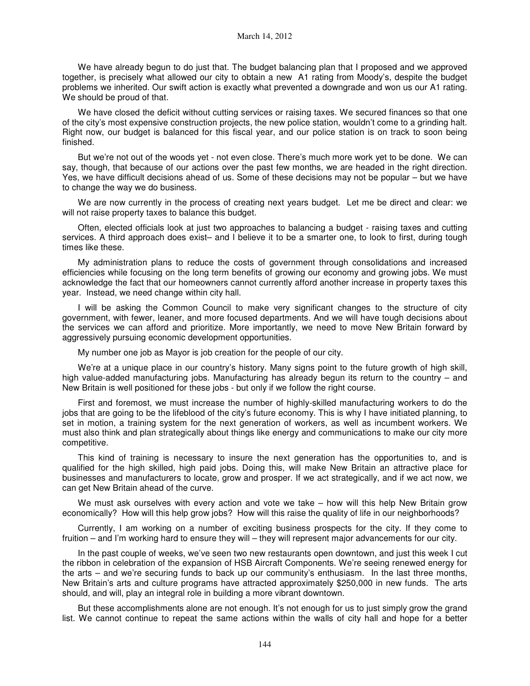We have already begun to do just that. The budget balancing plan that I proposed and we approved together, is precisely what allowed our city to obtain a new A1 rating from Moody's, despite the budget problems we inherited. Our swift action is exactly what prevented a downgrade and won us our A1 rating. We should be proud of that.

We have closed the deficit without cutting services or raising taxes. We secured finances so that one of the city's most expensive construction projects, the new police station, wouldn't come to a grinding halt. Right now, our budget is balanced for this fiscal year, and our police station is on track to soon being finished.

But we're not out of the woods yet - not even close. There's much more work yet to be done. We can say, though, that because of our actions over the past few months, we are headed in the right direction. Yes, we have difficult decisions ahead of us. Some of these decisions may not be popular – but we have to change the way we do business.

We are now currently in the process of creating next years budget. Let me be direct and clear: we will not raise property taxes to balance this budget.

Often, elected officials look at just two approaches to balancing a budget - raising taxes and cutting services. A third approach does exist– and I believe it to be a smarter one, to look to first, during tough times like these.

My administration plans to reduce the costs of government through consolidations and increased efficiencies while focusing on the long term benefits of growing our economy and growing jobs. We must acknowledge the fact that our homeowners cannot currently afford another increase in property taxes this year. Instead, we need change within city hall.

I will be asking the Common Council to make very significant changes to the structure of city government, with fewer, leaner, and more focused departments. And we will have tough decisions about the services we can afford and prioritize. More importantly, we need to move New Britain forward by aggressively pursuing economic development opportunities.

My number one job as Mayor is job creation for the people of our city.

We're at a unique place in our country's history. Many signs point to the future growth of high skill, high value-added manufacturing jobs. Manufacturing has already begun its return to the country – and New Britain is well positioned for these jobs - but only if we follow the right course.

First and foremost, we must increase the number of highly-skilled manufacturing workers to do the jobs that are going to be the lifeblood of the city's future economy. This is why I have initiated planning, to set in motion, a training system for the next generation of workers, as well as incumbent workers. We must also think and plan strategically about things like energy and communications to make our city more competitive.

This kind of training is necessary to insure the next generation has the opportunities to, and is qualified for the high skilled, high paid jobs. Doing this, will make New Britain an attractive place for businesses and manufacturers to locate, grow and prosper. If we act strategically, and if we act now, we can get New Britain ahead of the curve.

We must ask ourselves with every action and vote we take – how will this help New Britain grow economically? How will this help grow jobs? How will this raise the quality of life in our neighborhoods?

Currently, I am working on a number of exciting business prospects for the city. If they come to fruition – and I'm working hard to ensure they will – they will represent major advancements for our city.

In the past couple of weeks, we've seen two new restaurants open downtown, and just this week I cut the ribbon in celebration of the expansion of HSB Aircraft Components. We're seeing renewed energy for the arts – and we're securing funds to back up our community's enthusiasm. In the last three months, New Britain's arts and culture programs have attracted approximately \$250,000 in new funds. The arts should, and will, play an integral role in building a more vibrant downtown.

But these accomplishments alone are not enough. It's not enough for us to just simply grow the grand list. We cannot continue to repeat the same actions within the walls of city hall and hope for a better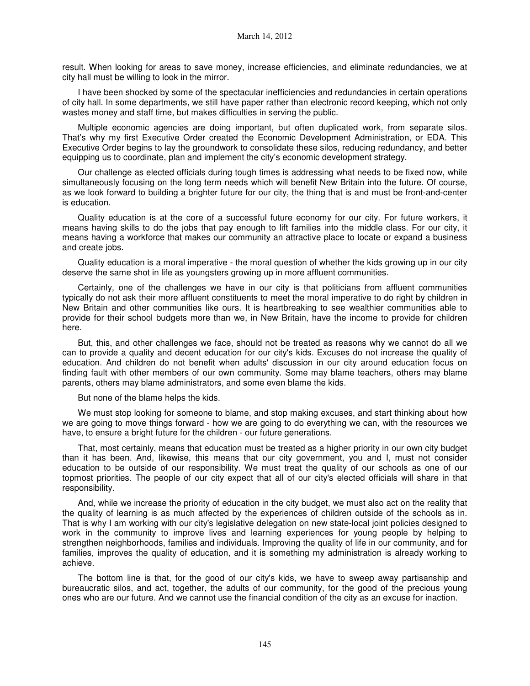result. When looking for areas to save money, increase efficiencies, and eliminate redundancies, we at city hall must be willing to look in the mirror.

I have been shocked by some of the spectacular inefficiencies and redundancies in certain operations of city hall. In some departments, we still have paper rather than electronic record keeping, which not only wastes money and staff time, but makes difficulties in serving the public.

Multiple economic agencies are doing important, but often duplicated work, from separate silos. That's why my first Executive Order created the Economic Development Administration, or EDA. This Executive Order begins to lay the groundwork to consolidate these silos, reducing redundancy, and better equipping us to coordinate, plan and implement the city's economic development strategy.

Our challenge as elected officials during tough times is addressing what needs to be fixed now, while simultaneously focusing on the long term needs which will benefit New Britain into the future. Of course, as we look forward to building a brighter future for our city, the thing that is and must be front-and-center is education.

Quality education is at the core of a successful future economy for our city. For future workers, it means having skills to do the jobs that pay enough to lift families into the middle class. For our city, it means having a workforce that makes our community an attractive place to locate or expand a business and create jobs.

Quality education is a moral imperative - the moral question of whether the kids growing up in our city deserve the same shot in life as youngsters growing up in more affluent communities.

Certainly, one of the challenges we have in our city is that politicians from affluent communities typically do not ask their more affluent constituents to meet the moral imperative to do right by children in New Britain and other communities like ours. It is heartbreaking to see wealthier communities able to provide for their school budgets more than we, in New Britain, have the income to provide for children here.

But, this, and other challenges we face, should not be treated as reasons why we cannot do all we can to provide a quality and decent education for our city's kids. Excuses do not increase the quality of education. And children do not benefit when adults' discussion in our city around education focus on finding fault with other members of our own community. Some may blame teachers, others may blame parents, others may blame administrators, and some even blame the kids.

But none of the blame helps the kids.

We must stop looking for someone to blame, and stop making excuses, and start thinking about how we are going to move things forward - how we are going to do everything we can, with the resources we have, to ensure a bright future for the children - our future generations.

That, most certainly, means that education must be treated as a higher priority in our own city budget than it has been. And, likewise, this means that our city government, you and I, must not consider education to be outside of our responsibility. We must treat the quality of our schools as one of our topmost priorities. The people of our city expect that all of our city's elected officials will share in that responsibility.

And, while we increase the priority of education in the city budget, we must also act on the reality that the quality of learning is as much affected by the experiences of children outside of the schools as in. That is why I am working with our city's legislative delegation on new state-local joint policies designed to work in the community to improve lives and learning experiences for young people by helping to strengthen neighborhoods, families and individuals. Improving the quality of life in our community, and for families, improves the quality of education, and it is something my administration is already working to achieve.

The bottom line is that, for the good of our city's kids, we have to sweep away partisanship and bureaucratic silos, and act, together, the adults of our community, for the good of the precious young ones who are our future. And we cannot use the financial condition of the city as an excuse for inaction.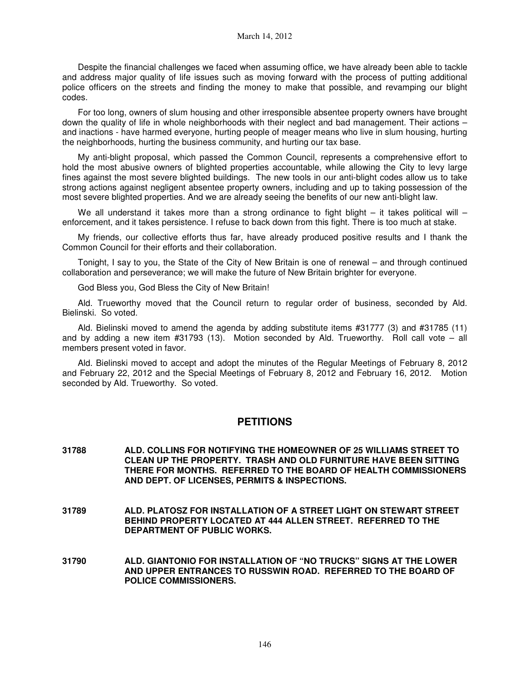Despite the financial challenges we faced when assuming office, we have already been able to tackle and address major quality of life issues such as moving forward with the process of putting additional police officers on the streets and finding the money to make that possible, and revamping our blight codes.

For too long, owners of slum housing and other irresponsible absentee property owners have brought down the quality of life in whole neighborhoods with their neglect and bad management. Their actions – and inactions - have harmed everyone, hurting people of meager means who live in slum housing, hurting the neighborhoods, hurting the business community, and hurting our tax base.

My anti-blight proposal, which passed the Common Council, represents a comprehensive effort to hold the most abusive owners of blighted properties accountable, while allowing the City to levy large fines against the most severe blighted buildings. The new tools in our anti-blight codes allow us to take strong actions against negligent absentee property owners, including and up to taking possession of the most severe blighted properties. And we are already seeing the benefits of our new anti-blight law.

We all understand it takes more than a strong ordinance to fight blight  $-$  it takes political will  $$ enforcement, and it takes persistence. I refuse to back down from this fight. There is too much at stake.

My friends, our collective efforts thus far, have already produced positive results and I thank the Common Council for their efforts and their collaboration.

Tonight, I say to you, the State of the City of New Britain is one of renewal – and through continued collaboration and perseverance; we will make the future of New Britain brighter for everyone.

God Bless you, God Bless the City of New Britain!

Ald. Trueworthy moved that the Council return to regular order of business, seconded by Ald. Bielinski. So voted.

Ald. Bielinski moved to amend the agenda by adding substitute items #31777 (3) and #31785 (11) and by adding a new item #31793 (13). Motion seconded by Ald. Trueworthy. Roll call vote – all members present voted in favor.

Ald. Bielinski moved to accept and adopt the minutes of the Regular Meetings of February 8, 2012 and February 22, 2012 and the Special Meetings of February 8, 2012 and February 16, 2012. Motion seconded by Ald. Trueworthy. So voted.

## **PETITIONS**

- **31788 ALD. COLLINS FOR NOTIFYING THE HOMEOWNER OF 25 WILLIAMS STREET TO CLEAN UP THE PROPERTY. TRASH AND OLD FURNITURE HAVE BEEN SITTING THERE FOR MONTHS. REFERRED TO THE BOARD OF HEALTH COMMISSIONERS AND DEPT. OF LICENSES, PERMITS & INSPECTIONS.**
- **31789 ALD. PLATOSZ FOR INSTALLATION OF A STREET LIGHT ON STEWART STREET BEHIND PROPERTY LOCATED AT 444 ALLEN STREET. REFERRED TO THE DEPARTMENT OF PUBLIC WORKS.**
- **31790 ALD. GIANTONIO FOR INSTALLATION OF "NO TRUCKS" SIGNS AT THE LOWER AND UPPER ENTRANCES TO RUSSWIN ROAD. REFERRED TO THE BOARD OF POLICE COMMISSIONERS.**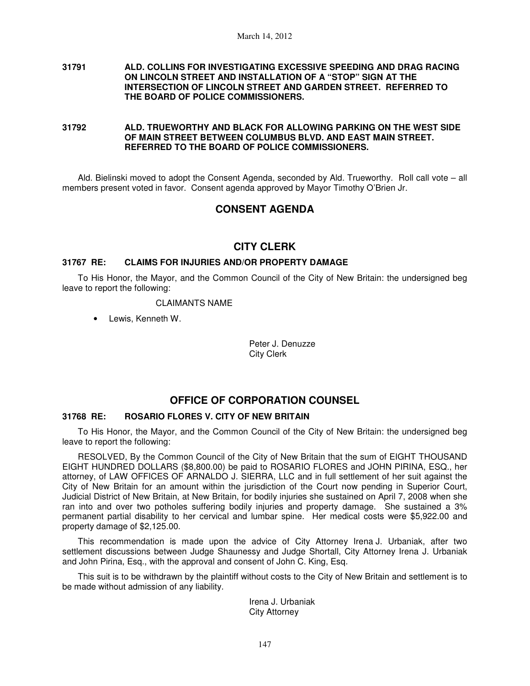#### **31791 ALD. COLLINS FOR INVESTIGATING EXCESSIVE SPEEDING AND DRAG RACING ON LINCOLN STREET AND INSTALLATION OF A "STOP" SIGN AT THE INTERSECTION OF LINCOLN STREET AND GARDEN STREET. REFERRED TO THE BOARD OF POLICE COMMISSIONERS.**

**31792 ALD. TRUEWORTHY AND BLACK FOR ALLOWING PARKING ON THE WEST SIDE OF MAIN STREET BETWEEN COLUMBUS BLVD. AND EAST MAIN STREET. REFERRED TO THE BOARD OF POLICE COMMISSIONERS.** 

Ald. Bielinski moved to adopt the Consent Agenda, seconded by Ald. Trueworthy. Roll call vote – all members present voted in favor. Consent agenda approved by Mayor Timothy O'Brien Jr.

# **CONSENT AGENDA**

## **CITY CLERK**

#### **31767 RE: CLAIMS FOR INJURIES AND/OR PROPERTY DAMAGE**

To His Honor, the Mayor, and the Common Council of the City of New Britain: the undersigned beg leave to report the following:

#### CLAIMANTS NAME

• Lewis, Kenneth W.

Peter J. Denuzze City Clerk

## **OFFICE OF CORPORATION COUNSEL**

#### **31768 RE: ROSARIO FLORES V. CITY OF NEW BRITAIN**

To His Honor, the Mayor, and the Common Council of the City of New Britain: the undersigned beg leave to report the following:

RESOLVED, By the Common Council of the City of New Britain that the sum of EIGHT THOUSAND EIGHT HUNDRED DOLLARS (\$8,800.00) be paid to ROSARIO FLORES and JOHN PIRINA, ESQ., her attorney, of LAW OFFICES OF ARNALDO J. SIERRA, LLC and in full settlement of her suit against the City of New Britain for an amount within the jurisdiction of the Court now pending in Superior Court, Judicial District of New Britain, at New Britain, for bodily injuries she sustained on April 7, 2008 when she ran into and over two potholes suffering bodily injuries and property damage. She sustained a 3% permanent partial disability to her cervical and lumbar spine. Her medical costs were \$5,922.00 and property damage of \$2,125.00.

This recommendation is made upon the advice of City Attorney Irena J. Urbaniak, after two settlement discussions between Judge Shaunessy and Judge Shortall, City Attorney Irena J. Urbaniak and John Pirina, Esq., with the approval and consent of John C. King, Esq.

This suit is to be withdrawn by the plaintiff without costs to the City of New Britain and settlement is to be made without admission of any liability.

> Irena J. Urbaniak City Attorney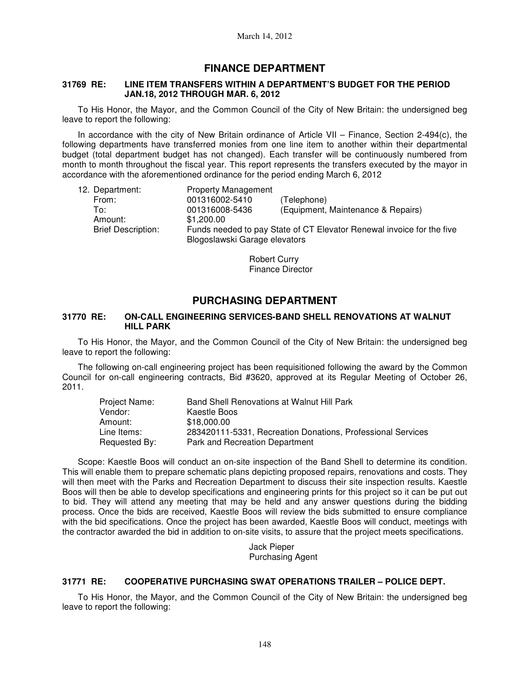# **FINANCE DEPARTMENT**

#### **31769 RE: LINE ITEM TRANSFERS WITHIN A DEPARTMENT'S BUDGET FOR THE PERIOD JAN.18, 2012 THROUGH MAR. 6, 2012**

To His Honor, the Mayor, and the Common Council of the City of New Britain: the undersigned beg leave to report the following:

In accordance with the city of New Britain ordinance of Article VII – Finance, Section 2-494(c), the following departments have transferred monies from one line item to another within their departmental budget (total department budget has not changed). Each transfer will be continuously numbered from month to month throughout the fiscal year. This report represents the transfers executed by the mayor in accordance with the aforementioned ordinance for the period ending March 6, 2012

| 12. Department:           | <b>Property Management</b>    |                                                                       |
|---------------------------|-------------------------------|-----------------------------------------------------------------------|
| From:                     | 001316002-5410                | (Telephone)                                                           |
| To:                       | 001316008-5436                | (Equipment, Maintenance & Repairs)                                    |
| Amount:                   | \$1,200,00                    |                                                                       |
| <b>Brief Description:</b> |                               | Funds needed to pay State of CT Elevator Renewal invoice for the five |
|                           | Blogoslawski Garage elevators |                                                                       |

Robert Curry Finance Director

# **PURCHASING DEPARTMENT**

#### **31770 RE: ON-CALL ENGINEERING SERVICES-BAND SHELL RENOVATIONS AT WALNUT HILL PARK**

To His Honor, the Mayor, and the Common Council of the City of New Britain: the undersigned beg leave to report the following:

The following on-call engineering project has been requisitioned following the award by the Common Council for on-call engineering contracts, Bid #3620, approved at its Regular Meeting of October 26, 2011.

| Project Name: | Band Shell Renovations at Walnut Hill Park                  |
|---------------|-------------------------------------------------------------|
| Vendor:       | Kaestle Boos                                                |
| Amount:       | \$18,000.00                                                 |
| Line Items:   | 283420111-5331, Recreation Donations, Professional Services |
| Requested By: | Park and Recreation Department                              |

Scope: Kaestle Boos will conduct an on-site inspection of the Band Shell to determine its condition. This will enable them to prepare schematic plans depicting proposed repairs, renovations and costs. They will then meet with the Parks and Recreation Department to discuss their site inspection results. Kaestle Boos will then be able to develop specifications and engineering prints for this project so it can be put out to bid. They will attend any meeting that may be held and any answer questions during the bidding process. Once the bids are received, Kaestle Boos will review the bids submitted to ensure compliance with the bid specifications. Once the project has been awarded, Kaestle Boos will conduct, meetings with the contractor awarded the bid in addition to on-site visits, to assure that the project meets specifications.

> Jack Pieper Purchasing Agent

### **31771 RE: COOPERATIVE PURCHASING SWAT OPERATIONS TRAILER – POLICE DEPT.**

To His Honor, the Mayor, and the Common Council of the City of New Britain: the undersigned beg leave to report the following: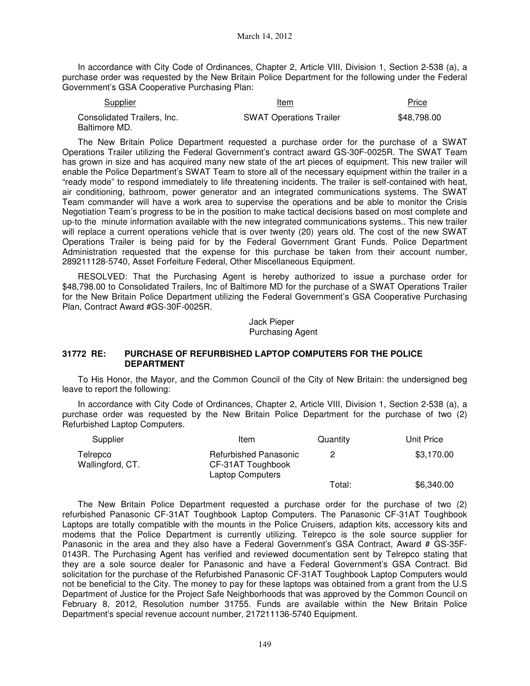In accordance with City Code of Ordinances, Chapter 2, Article VIII, Division 1, Section 2-538 (a), a purchase order was requested by the New Britain Police Department for the following under the Federal Government's GSA Cooperative Purchasing Plan:

| <b>Supplier</b>             | Item<br>$\sim$ $\sim$          | <b>Price</b> |
|-----------------------------|--------------------------------|--------------|
| Consolidated Trailers, Inc. | <b>SWAT Operations Trailer</b> | \$48,798,00  |
| Baltimore MD.               |                                |              |

The New Britain Police Department requested a purchase order for the purchase of a SWAT Operations Trailer utilizing the Federal Government's contract award GS-30F-0025R. The SWAT Team has grown in size and has acquired many new state of the art pieces of equipment. This new trailer will enable the Police Department's SWAT Team to store all of the necessary equipment within the trailer in a "ready mode" to respond immediately to life threatening incidents. The trailer is self-contained with heat, air conditioning, bathroom, power generator and an integrated communications systems. The SWAT Team commander will have a work area to supervise the operations and be able to monitor the Crisis Negotiation Team's progress to be in the position to make tactical decisions based on most complete and up-to the minute information available with the new integrated communications systems.. This new trailer will replace a current operations vehicle that is over twenty (20) years old. The cost of the new SWAT Operations Trailer is being paid for by the Federal Government Grant Funds. Police Department Administration requested that the expense for this purchase be taken from their account number, 289211128-5740, Asset Forfeiture Federal, Other Miscellaneous Equipment.

RESOLVED: That the Purchasing Agent is hereby authorized to issue a purchase order for \$48,798.00 to Consolidated Trailers, Inc of Baltimore MD for the purchase of a SWAT Operations Trailer for the New Britain Police Department utilizing the Federal Government's GSA Cooperative Purchasing Plan, Contract Award #GS-30F-0025R.

> Jack Pieper Purchasing Agent

#### **31772 RE: PURCHASE OF REFURBISHED LAPTOP COMPUTERS FOR THE POLICE DEPARTMENT**

To His Honor, the Mayor, and the Common Council of the City of New Britain: the undersigned beg leave to report the following:

In accordance with City Code of Ordinances, Chapter 2, Article VIII, Division 1, Section 2-538 (a), a purchase order was requested by the New Britain Police Department for the purchase of two (2) Refurbished Laptop Computers.

| Supplier                     | Item                                                                  | Quantity | Unit Price |
|------------------------------|-----------------------------------------------------------------------|----------|------------|
| Telrepco<br>Wallingford, CT. | Refurbished Panasonic<br>CF-31AT Toughbook<br><b>Laptop Computers</b> |          | \$3,170.00 |
|                              |                                                                       | Total:   | \$6,340.00 |

The New Britain Police Department requested a purchase order for the purchase of two (2) refurbished Panasonic CF-31AT Toughbook Laptop Computers. The Panasonic CF-31AT Toughbook Laptops are totally compatible with the mounts in the Police Cruisers, adaption kits, accessory kits and modems that the Police Department is currently utilizing. Telrepco is the sole source supplier for Panasonic in the area and they also have a Federal Government's GSA Contract, Award # GS-35F-0143R. The Purchasing Agent has verified and reviewed documentation sent by Telrepco stating that they are a sole source dealer for Panasonic and have a Federal Government's GSA Contract. Bid solicitation for the purchase of the Refurbished Panasonic CF-31AT Toughbook Laptop Computers would not be beneficial to the City. The money to pay for these laptops was obtained from a grant from the U.S Department of Justice for the Project Safe Neighborhoods that was approved by the Common Council on February 8, 2012, Resolution number 31755. Funds are available within the New Britain Police Department's special revenue account number, 217211136-5740 Equipment.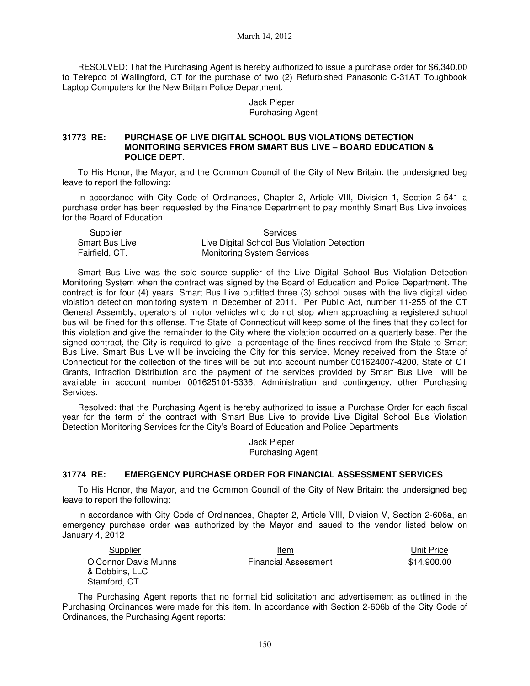March 14, 2012

RESOLVED: That the Purchasing Agent is hereby authorized to issue a purchase order for \$6,340.00 to Telrepco of Wallingford, CT for the purchase of two (2) Refurbished Panasonic C-31AT Toughbook Laptop Computers for the New Britain Police Department.

> Jack Pieper Purchasing Agent

#### **31773 RE: PURCHASE OF LIVE DIGITAL SCHOOL BUS VIOLATIONS DETECTION MONITORING SERVICES FROM SMART BUS LIVE – BOARD EDUCATION & POLICE DEPT.**

To His Honor, the Mayor, and the Common Council of the City of New Britain: the undersigned beg leave to report the following:

In accordance with City Code of Ordinances, Chapter 2, Article VIII, Division 1, Section 2-541 a purchase order has been requested by the Finance Department to pay monthly Smart Bus Live invoices for the Board of Education.

| Supplier       | Services                                    |
|----------------|---------------------------------------------|
| Smart Bus Live | Live Digital School Bus Violation Detection |
| Fairfield, CT. | <b>Monitoring System Services</b>           |

Smart Bus Live was the sole source supplier of the Live Digital School Bus Violation Detection Monitoring System when the contract was signed by the Board of Education and Police Department. The contract is for four (4) years. Smart Bus Live outfitted three (3) school buses with the live digital video violation detection monitoring system in December of 2011. Per Public Act, number 11-255 of the CT General Assembly, operators of motor vehicles who do not stop when approaching a registered school bus will be fined for this offense. The State of Connecticut will keep some of the fines that they collect for this violation and give the remainder to the City where the violation occurred on a quarterly base. Per the signed contract, the City is required to give a percentage of the fines received from the State to Smart Bus Live. Smart Bus Live will be invoicing the City for this service. Money received from the State of Connecticut for the collection of the fines will be put into account number 001624007-4200, State of CT Grants, Infraction Distribution and the payment of the services provided by Smart Bus Live will be available in account number 001625101-5336, Administration and contingency, other Purchasing Services.

Resolved: that the Purchasing Agent is hereby authorized to issue a Purchase Order for each fiscal year for the term of the contract with Smart Bus Live to provide Live Digital School Bus Violation Detection Monitoring Services for the City's Board of Education and Police Departments

> Jack Pieper Purchasing Agent

### **31774 RE: EMERGENCY PURCHASE ORDER FOR FINANCIAL ASSESSMENT SERVICES**

To His Honor, the Mayor, and the Common Council of the City of New Britain: the undersigned beg leave to report the following:

In accordance with City Code of Ordinances, Chapter 2, Article VIII, Division V, Section 2-606a, an emergency purchase order was authorized by the Mayor and issued to the vendor listed below on January 4, 2012

| Supplier             | Item                        | Unit Price  |
|----------------------|-----------------------------|-------------|
| O'Connor Davis Munns | <b>Financial Assessment</b> | \$14,900.00 |
| & Dobbins, LLC       |                             |             |
| Stamford, CT.        |                             |             |

The Purchasing Agent reports that no formal bid solicitation and advertisement as outlined in the Purchasing Ordinances were made for this item. In accordance with Section 2-606b of the City Code of Ordinances, the Purchasing Agent reports: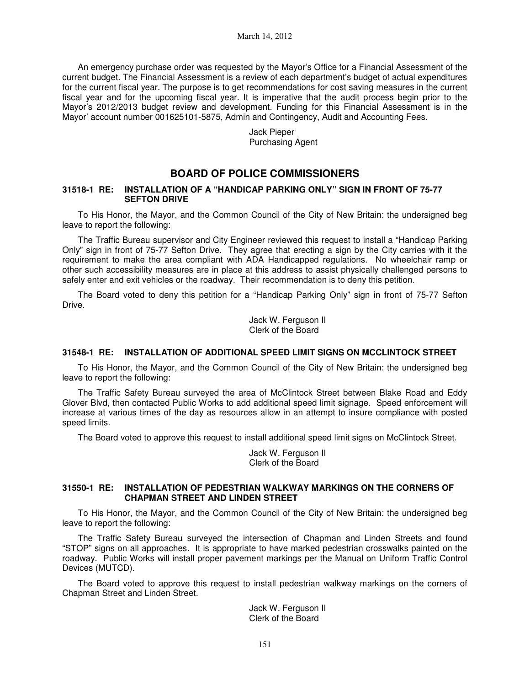An emergency purchase order was requested by the Mayor's Office for a Financial Assessment of the current budget. The Financial Assessment is a review of each department's budget of actual expenditures for the current fiscal year. The purpose is to get recommendations for cost saving measures in the current fiscal year and for the upcoming fiscal year. It is imperative that the audit process begin prior to the Mayor's 2012/2013 budget review and development. Funding for this Financial Assessment is in the Mayor' account number 001625101-5875, Admin and Contingency, Audit and Accounting Fees.

> Jack Pieper Purchasing Agent

# **BOARD OF POLICE COMMISSIONERS**

#### **31518-1 RE: INSTALLATION OF A "HANDICAP PARKING ONLY" SIGN IN FRONT OF 75-77 SEFTON DRIVE**

To His Honor, the Mayor, and the Common Council of the City of New Britain: the undersigned beg leave to report the following:

The Traffic Bureau supervisor and City Engineer reviewed this request to install a "Handicap Parking Only" sign in front of 75-77 Sefton Drive. They agree that erecting a sign by the City carries with it the requirement to make the area compliant with ADA Handicapped regulations. No wheelchair ramp or other such accessibility measures are in place at this address to assist physically challenged persons to safely enter and exit vehicles or the roadway. Their recommendation is to deny this petition.

The Board voted to deny this petition for a "Handicap Parking Only" sign in front of 75-77 Sefton Drive.

> Jack W. Ferguson II Clerk of the Board

### **31548-1 RE: INSTALLATION OF ADDITIONAL SPEED LIMIT SIGNS ON MCCLINTOCK STREET**

To His Honor, the Mayor, and the Common Council of the City of New Britain: the undersigned beg leave to report the following:

The Traffic Safety Bureau surveyed the area of McClintock Street between Blake Road and Eddy Glover Blvd, then contacted Public Works to add additional speed limit signage. Speed enforcement will increase at various times of the day as resources allow in an attempt to insure compliance with posted speed limits.

The Board voted to approve this request to install additional speed limit signs on McClintock Street.

Jack W. Ferguson II Clerk of the Board

#### **31550-1 RE: INSTALLATION OF PEDESTRIAN WALKWAY MARKINGS ON THE CORNERS OF CHAPMAN STREET AND LINDEN STREET**

To His Honor, the Mayor, and the Common Council of the City of New Britain: the undersigned beg leave to report the following:

The Traffic Safety Bureau surveyed the intersection of Chapman and Linden Streets and found "STOP" signs on all approaches. It is appropriate to have marked pedestrian crosswalks painted on the roadway. Public Works will install proper pavement markings per the Manual on Uniform Traffic Control Devices (MUTCD).

The Board voted to approve this request to install pedestrian walkway markings on the corners of Chapman Street and Linden Street.

> Jack W. Ferguson II Clerk of the Board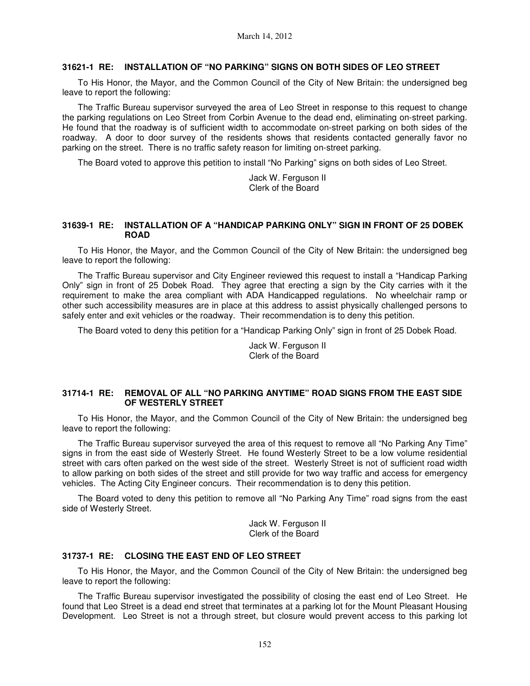#### **31621-1 RE: INSTALLATION OF "NO PARKING" SIGNS ON BOTH SIDES OF LEO STREET**

To His Honor, the Mayor, and the Common Council of the City of New Britain: the undersigned beg leave to report the following:

The Traffic Bureau supervisor surveyed the area of Leo Street in response to this request to change the parking regulations on Leo Street from Corbin Avenue to the dead end, eliminating on-street parking. He found that the roadway is of sufficient width to accommodate on-street parking on both sides of the roadway. A door to door survey of the residents shows that residents contacted generally favor no parking on the street. There is no traffic safety reason for limiting on-street parking.

The Board voted to approve this petition to install "No Parking" signs on both sides of Leo Street.

Jack W. Ferguson II Clerk of the Board

#### **31639-1 RE: INSTALLATION OF A "HANDICAP PARKING ONLY" SIGN IN FRONT OF 25 DOBEK ROAD**

To His Honor, the Mayor, and the Common Council of the City of New Britain: the undersigned beg leave to report the following:

The Traffic Bureau supervisor and City Engineer reviewed this request to install a "Handicap Parking Only" sign in front of 25 Dobek Road. They agree that erecting a sign by the City carries with it the requirement to make the area compliant with ADA Handicapped regulations. No wheelchair ramp or other such accessibility measures are in place at this address to assist physically challenged persons to safely enter and exit vehicles or the roadway. Their recommendation is to deny this petition.

The Board voted to deny this petition for a "Handicap Parking Only" sign in front of 25 Dobek Road.

Jack W. Ferguson II Clerk of the Board

#### **31714-1 RE: REMOVAL OF ALL "NO PARKING ANYTIME" ROAD SIGNS FROM THE EAST SIDE OF WESTERLY STREET**

To His Honor, the Mayor, and the Common Council of the City of New Britain: the undersigned beg leave to report the following:

The Traffic Bureau supervisor surveyed the area of this request to remove all "No Parking Any Time" signs in from the east side of Westerly Street. He found Westerly Street to be a low volume residential street with cars often parked on the west side of the street. Westerly Street is not of sufficient road width to allow parking on both sides of the street and still provide for two way traffic and access for emergency vehicles. The Acting City Engineer concurs. Their recommendation is to deny this petition.

The Board voted to deny this petition to remove all "No Parking Any Time" road signs from the east side of Westerly Street.

> Jack W. Ferguson II Clerk of the Board

#### **31737-1 RE: CLOSING THE EAST END OF LEO STREET**

To His Honor, the Mayor, and the Common Council of the City of New Britain: the undersigned beg leave to report the following:

The Traffic Bureau supervisor investigated the possibility of closing the east end of Leo Street. He found that Leo Street is a dead end street that terminates at a parking lot for the Mount Pleasant Housing Development. Leo Street is not a through street, but closure would prevent access to this parking lot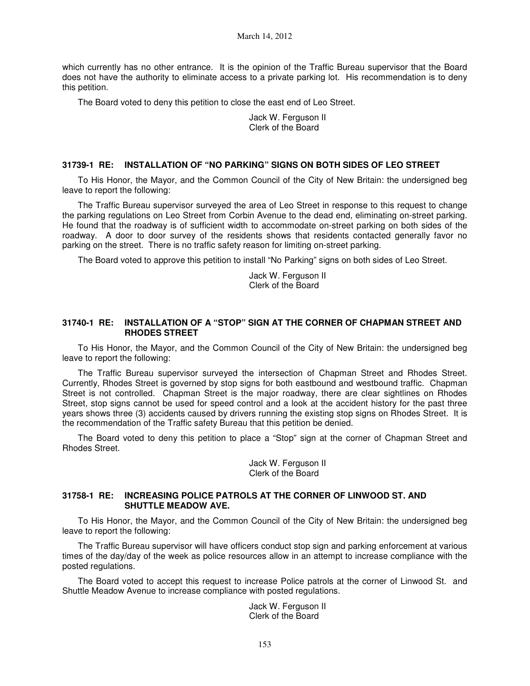March 14, 2012

which currently has no other entrance. It is the opinion of the Traffic Bureau supervisor that the Board does not have the authority to eliminate access to a private parking lot. His recommendation is to deny this petition.

The Board voted to deny this petition to close the east end of Leo Street.

Jack W. Ferguson II Clerk of the Board

#### **31739-1 RE: INSTALLATION OF "NO PARKING" SIGNS ON BOTH SIDES OF LEO STREET**

To His Honor, the Mayor, and the Common Council of the City of New Britain: the undersigned beg leave to report the following:

The Traffic Bureau supervisor surveyed the area of Leo Street in response to this request to change the parking regulations on Leo Street from Corbin Avenue to the dead end, eliminating on-street parking. He found that the roadway is of sufficient width to accommodate on-street parking on both sides of the roadway. A door to door survey of the residents shows that residents contacted generally favor no parking on the street. There is no traffic safety reason for limiting on-street parking.

The Board voted to approve this petition to install "No Parking" signs on both sides of Leo Street.

Jack W. Ferguson II Clerk of the Board

#### **31740-1 RE: INSTALLATION OF A "STOP" SIGN AT THE CORNER OF CHAPMAN STREET AND RHODES STREET**

To His Honor, the Mayor, and the Common Council of the City of New Britain: the undersigned beg leave to report the following:

The Traffic Bureau supervisor surveyed the intersection of Chapman Street and Rhodes Street. Currently, Rhodes Street is governed by stop signs for both eastbound and westbound traffic. Chapman Street is not controlled. Chapman Street is the major roadway, there are clear sightlines on Rhodes Street, stop signs cannot be used for speed control and a look at the accident history for the past three years shows three (3) accidents caused by drivers running the existing stop signs on Rhodes Street. It is the recommendation of the Traffic safety Bureau that this petition be denied.

The Board voted to deny this petition to place a "Stop" sign at the corner of Chapman Street and Rhodes Street.

> Jack W. Ferguson II Clerk of the Board

### **31758-1 RE: INCREASING POLICE PATROLS AT THE CORNER OF LINWOOD ST. AND SHUTTLE MEADOW AVE.**

To His Honor, the Mayor, and the Common Council of the City of New Britain: the undersigned beg leave to report the following:

The Traffic Bureau supervisor will have officers conduct stop sign and parking enforcement at various times of the day/day of the week as police resources allow in an attempt to increase compliance with the posted regulations.

The Board voted to accept this request to increase Police patrols at the corner of Linwood St. and Shuttle Meadow Avenue to increase compliance with posted regulations.

> Jack W. Ferguson II Clerk of the Board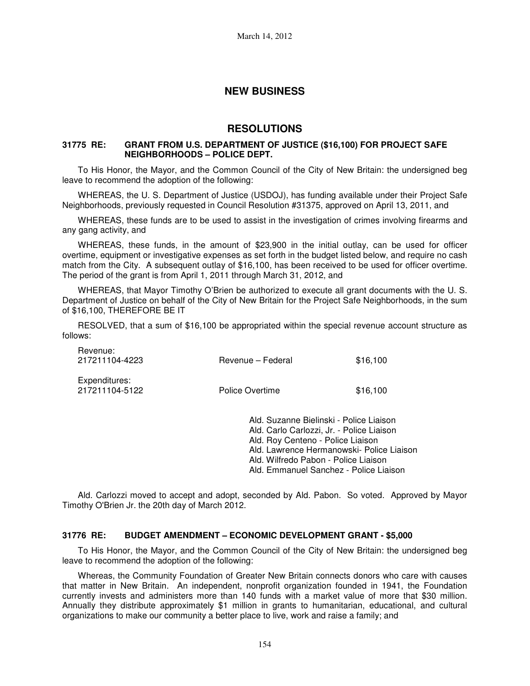# **NEW BUSINESS**

### **RESOLUTIONS**

#### **31775 RE: GRANT FROM U.S. DEPARTMENT OF JUSTICE (\$16,100) FOR PROJECT SAFE NEIGHBORHOODS – POLICE DEPT.**

To His Honor, the Mayor, and the Common Council of the City of New Britain: the undersigned beg leave to recommend the adoption of the following:

WHEREAS, the U. S. Department of Justice (USDOJ), has funding available under their Project Safe Neighborhoods, previously requested in Council Resolution #31375, approved on April 13, 2011, and

WHEREAS, these funds are to be used to assist in the investigation of crimes involving firearms and any gang activity, and

WHEREAS, these funds, in the amount of \$23,900 in the initial outlay, can be used for officer overtime, equipment or investigative expenses as set forth in the budget listed below, and require no cash match from the City. A subsequent outlay of \$16,100, has been received to be used for officer overtime. The period of the grant is from April 1, 2011 through March 31, 2012, and

WHEREAS, that Mayor Timothy O'Brien be authorized to execute all grant documents with the U. S. Department of Justice on behalf of the City of New Britain for the Project Safe Neighborhoods, in the sum of \$16,100, THEREFORE BE IT

RESOLVED, that a sum of \$16,100 be appropriated within the special revenue account structure as follows:

| Revenue:<br>217211104-4223      | Revenue – Federal                       | \$16,100 |
|---------------------------------|-----------------------------------------|----------|
| Expenditures:<br>217211104-5122 | Police Overtime                         | \$16,100 |
|                                 | Ald. Suzanne Bielinski - Police Liaison |          |

Ald. Carlo Carlozzi, Jr. - Police Liaison Ald. Roy Centeno - Police Liaison Ald. Lawrence Hermanowski- Police Liaison Ald. Wilfredo Pabon - Police Liaison Ald. Emmanuel Sanchez - Police Liaison

Ald. Carlozzi moved to accept and adopt, seconded by Ald. Pabon. So voted. Approved by Mayor Timothy O'Brien Jr. the 20th day of March 2012.

#### **31776 RE: BUDGET AMENDMENT – ECONOMIC DEVELOPMENT GRANT - \$5,000**

To His Honor, the Mayor, and the Common Council of the City of New Britain: the undersigned beg leave to recommend the adoption of the following:

Whereas, the Community Foundation of Greater New Britain connects donors who care with causes that matter in New Britain. An independent, nonprofit organization founded in 1941, the Foundation currently invests and administers more than 140 funds with a market value of more that \$30 million. Annually they distribute approximately \$1 million in grants to humanitarian, educational, and cultural organizations to make our community a better place to live, work and raise a family; and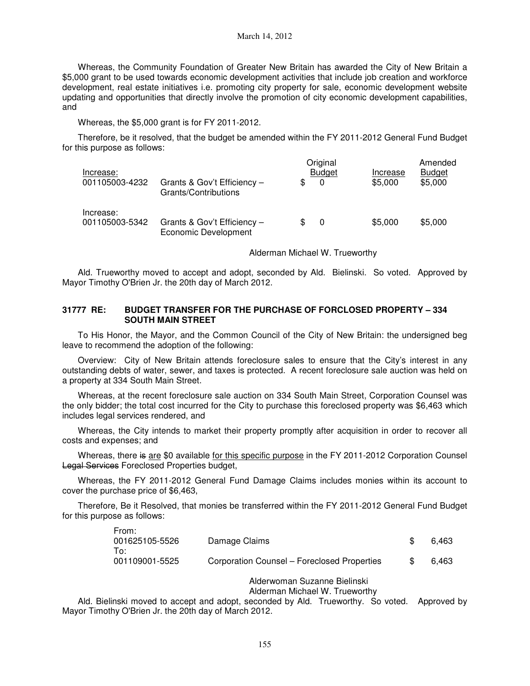Whereas, the Community Foundation of Greater New Britain has awarded the City of New Britain a \$5,000 grant to be used towards economic development activities that include job creation and workforce development, real estate initiatives i.e. promoting city property for sale, economic development website updating and opportunities that directly involve the promotion of city economic development capabilities, and

Whereas, the \$5,000 grant is for FY 2011-2012.

Therefore, be it resolved, that the budget be amended within the FY 2011-2012 General Fund Budget for this purpose as follows:

| Increase:<br>001105003-4232 | Grants & Gov't Efficiency -<br>Grants/Contributions |     | Original<br><b>Budget</b><br>0 | Increase<br>\$5,000 | Amended<br><b>Budget</b><br>\$5,000 |
|-----------------------------|-----------------------------------------------------|-----|--------------------------------|---------------------|-------------------------------------|
| Increase:<br>001105003-5342 | Grants & Gov't Efficiency -<br>Economic Development | \$. | 0                              | \$5,000             | \$5,000                             |

#### Alderman Michael W. Trueworthy

Ald. Trueworthy moved to accept and adopt, seconded by Ald. Bielinski. So voted. Approved by Mayor Timothy O'Brien Jr. the 20th day of March 2012.

### **31777 RE: BUDGET TRANSFER FOR THE PURCHASE OF FORCLOSED PROPERTY – 334 SOUTH MAIN STREET**

To His Honor, the Mayor, and the Common Council of the City of New Britain: the undersigned beg leave to recommend the adoption of the following:

Overview: City of New Britain attends foreclosure sales to ensure that the City's interest in any outstanding debts of water, sewer, and taxes is protected. A recent foreclosure sale auction was held on a property at 334 South Main Street.

Whereas, at the recent foreclosure sale auction on 334 South Main Street, Corporation Counsel was the only bidder; the total cost incurred for the City to purchase this foreclosed property was \$6,463 which includes legal services rendered, and

Whereas, the City intends to market their property promptly after acquisition in order to recover all costs and expenses; and

Whereas, there is are \$0 available for this specific purpose in the FY 2011-2012 Corporation Counsel Legal Services Foreclosed Properties budget,

Whereas, the FY 2011-2012 General Fund Damage Claims includes monies within its account to cover the purchase price of \$6,463,

Therefore, Be it Resolved, that monies be transferred within the FY 2011-2012 General Fund Budget for this purpose as follows:

| From:<br>001625105-5526 | Damage Claims                               | 6.463 |
|-------------------------|---------------------------------------------|-------|
| To:<br>001109001-5525   | Corporation Counsel - Foreclosed Properties | 6.463 |

### Alderwoman Suzanne Bielinski

Alderman Michael W. Trueworthy

Ald. Bielinski moved to accept and adopt, seconded by Ald. Trueworthy. So voted. Approved by Mayor Timothy O'Brien Jr. the 20th day of March 2012.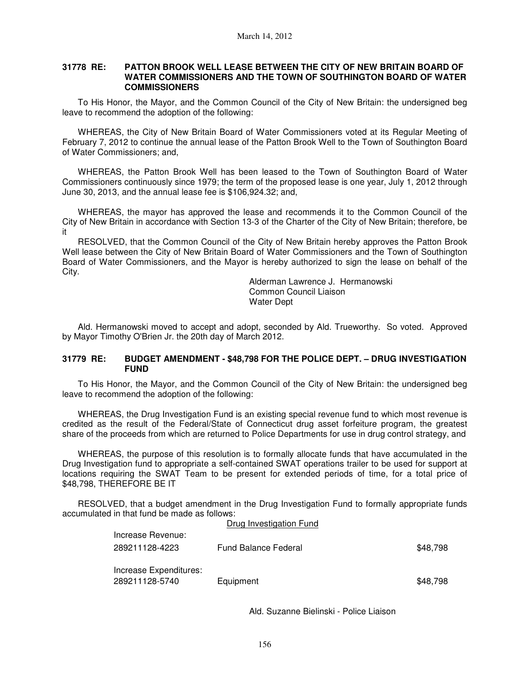#### **31778 RE: PATTON BROOK WELL LEASE BETWEEN THE CITY OF NEW BRITAIN BOARD OF WATER COMMISSIONERS AND THE TOWN OF SOUTHINGTON BOARD OF WATER COMMISSIONERS**

To His Honor, the Mayor, and the Common Council of the City of New Britain: the undersigned beg leave to recommend the adoption of the following:

WHEREAS, the City of New Britain Board of Water Commissioners voted at its Regular Meeting of February 7, 2012 to continue the annual lease of the Patton Brook Well to the Town of Southington Board of Water Commissioners; and,

WHEREAS, the Patton Brook Well has been leased to the Town of Southington Board of Water Commissioners continuously since 1979; the term of the proposed lease is one year, July 1, 2012 through June 30, 2013, and the annual lease fee is \$106,924.32; and,

WHEREAS, the mayor has approved the lease and recommends it to the Common Council of the City of New Britain in accordance with Section 13-3 of the Charter of the City of New Britain; therefore, be it

RESOLVED, that the Common Council of the City of New Britain hereby approves the Patton Brook Well lease between the City of New Britain Board of Water Commissioners and the Town of Southington Board of Water Commissioners, and the Mayor is hereby authorized to sign the lease on behalf of the City.

> Alderman Lawrence J. Hermanowski Common Council Liaison Water Dept

Ald. Hermanowski moved to accept and adopt, seconded by Ald. Trueworthy. So voted. Approved by Mayor Timothy O'Brien Jr. the 20th day of March 2012.

#### **31779 RE: BUDGET AMENDMENT - \$48,798 FOR THE POLICE DEPT. – DRUG INVESTIGATION FUND**

To His Honor, the Mayor, and the Common Council of the City of New Britain: the undersigned beg leave to recommend the adoption of the following:

WHEREAS, the Drug Investigation Fund is an existing special revenue fund to which most revenue is credited as the result of the Federal/State of Connecticut drug asset forfeiture program, the greatest share of the proceeds from which are returned to Police Departments for use in drug control strategy, and

WHEREAS, the purpose of this resolution is to formally allocate funds that have accumulated in the Drug Investigation fund to appropriate a self-contained SWAT operations trailer to be used for support at locations requiring the SWAT Team to be present for extended periods of time, for a total price of \$48,798, THEREFORE BE IT

RESOLVED, that a budget amendment in the Drug Investigation Fund to formally appropriate funds accumulated in that fund be made as follows: Drug Investigation Fund

| Drug investigation Fund     |          |
|-----------------------------|----------|
| <b>Fund Balance Federal</b> | \$48.798 |
|                             |          |
| Equipment                   | \$48.798 |
|                             |          |

Ald. Suzanne Bielinski - Police Liaison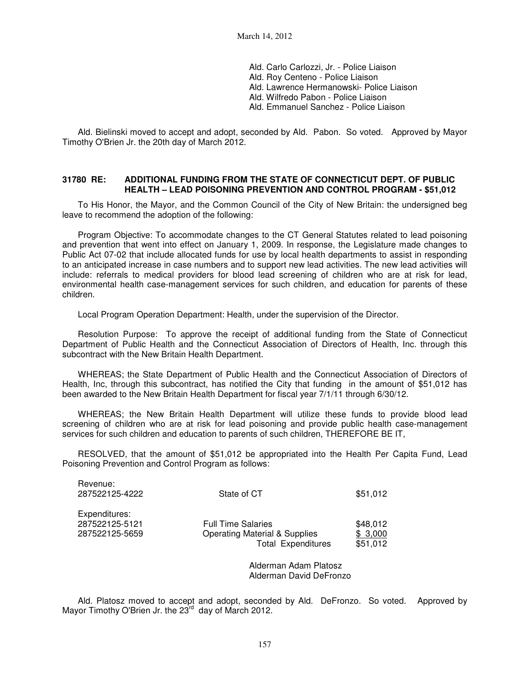March 14, 2012

Ald. Carlo Carlozzi, Jr. - Police Liaison Ald. Roy Centeno - Police Liaison Ald. Lawrence Hermanowski- Police Liaison Ald. Wilfredo Pabon - Police Liaison Ald. Emmanuel Sanchez - Police Liaison

Ald. Bielinski moved to accept and adopt, seconded by Ald. Pabon. So voted. Approved by Mayor Timothy O'Brien Jr. the 20th day of March 2012.

#### **31780 RE: ADDITIONAL FUNDING FROM THE STATE OF CONNECTICUT DEPT. OF PUBLIC HEALTH – LEAD POISONING PREVENTION AND CONTROL PROGRAM - \$51,012**

To His Honor, the Mayor, and the Common Council of the City of New Britain: the undersigned beg leave to recommend the adoption of the following:

Program Objective: To accommodate changes to the CT General Statutes related to lead poisoning and prevention that went into effect on January 1, 2009. In response, the Legislature made changes to Public Act 07-02 that include allocated funds for use by local health departments to assist in responding to an anticipated increase in case numbers and to support new lead activities. The new lead activities will include: referrals to medical providers for blood lead screening of children who are at risk for lead, environmental health case-management services for such children, and education for parents of these children.

Local Program Operation Department: Health, under the supervision of the Director.

Resolution Purpose: To approve the receipt of additional funding from the State of Connecticut Department of Public Health and the Connecticut Association of Directors of Health, Inc. through this subcontract with the New Britain Health Department.

WHEREAS; the State Department of Public Health and the Connecticut Association of Directors of Health, Inc, through this subcontract, has notified the City that funding in the amount of \$51,012 has been awarded to the New Britain Health Department for fiscal year 7/1/11 through 6/30/12.

WHEREAS; the New Britain Health Department will utilize these funds to provide blood lead screening of children who are at risk for lead poisoning and provide public health case-management services for such children and education to parents of such children, THEREFORE BE IT,

RESOLVED, that the amount of \$51,012 be appropriated into the Health Per Capita Fund, Lead Poisoning Prevention and Control Program as follows:

| Revenue:<br>287522125-4222 | State of CT                              | \$51,012 |
|----------------------------|------------------------------------------|----------|
| Expenditures:              | <b>Full Time Salaries</b>                | \$48,012 |
| 287522125-5121             | <b>Operating Material &amp; Supplies</b> | \$3,000  |
| 287522125-5659             | <b>Total Expenditures</b>                | \$51,012 |

Alderman Adam Platosz Alderman David DeFronzo

Ald. Platosz moved to accept and adopt, seconded by Ald. DeFronzo. So voted. Approved by Mayor Timothy O'Brien Jr. the 23<sup>rd</sup> day of March 2012.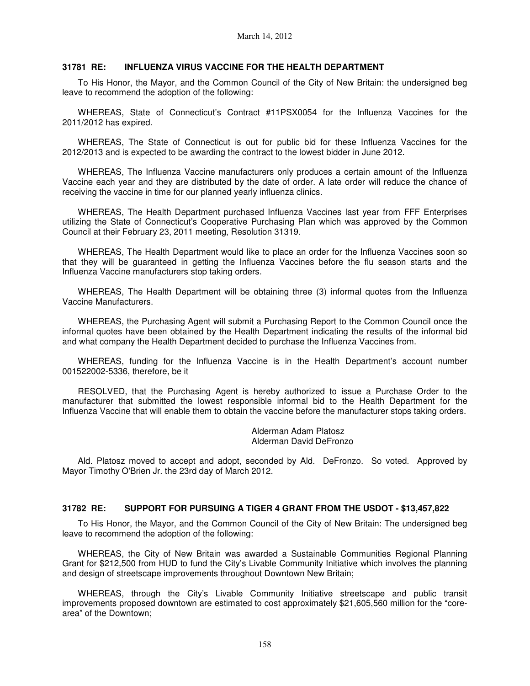#### **31781 RE: INFLUENZA VIRUS VACCINE FOR THE HEALTH DEPARTMENT**

To His Honor, the Mayor, and the Common Council of the City of New Britain: the undersigned beg leave to recommend the adoption of the following:

WHEREAS, State of Connecticut's Contract #11PSX0054 for the Influenza Vaccines for the 2011/2012 has expired.

WHEREAS, The State of Connecticut is out for public bid for these Influenza Vaccines for the 2012/2013 and is expected to be awarding the contract to the lowest bidder in June 2012.

WHEREAS, The Influenza Vaccine manufacturers only produces a certain amount of the Influenza Vaccine each year and they are distributed by the date of order. A late order will reduce the chance of receiving the vaccine in time for our planned yearly influenza clinics.

WHEREAS, The Health Department purchased Influenza Vaccines last year from FFF Enterprises utilizing the State of Connecticut's Cooperative Purchasing Plan which was approved by the Common Council at their February 23, 2011 meeting, Resolution 31319.

WHEREAS, The Health Department would like to place an order for the Influenza Vaccines soon so that they will be guaranteed in getting the Influenza Vaccines before the flu season starts and the Influenza Vaccine manufacturers stop taking orders.

WHEREAS, The Health Department will be obtaining three (3) informal quotes from the Influenza Vaccine Manufacturers.

WHEREAS, the Purchasing Agent will submit a Purchasing Report to the Common Council once the informal quotes have been obtained by the Health Department indicating the results of the informal bid and what company the Health Department decided to purchase the Influenza Vaccines from.

WHEREAS, funding for the Influenza Vaccine is in the Health Department's account number 001522002-5336, therefore, be it

RESOLVED, that the Purchasing Agent is hereby authorized to issue a Purchase Order to the manufacturer that submitted the lowest responsible informal bid to the Health Department for the Influenza Vaccine that will enable them to obtain the vaccine before the manufacturer stops taking orders.

> Alderman Adam Platosz Alderman David DeFronzo

Ald. Platosz moved to accept and adopt, seconded by Ald. DeFronzo. So voted. Approved by Mayor Timothy O'Brien Jr. the 23rd day of March 2012.

#### **31782 RE: SUPPORT FOR PURSUING A TIGER 4 GRANT FROM THE USDOT - \$13,457,822**

To His Honor, the Mayor, and the Common Council of the City of New Britain: The undersigned beg leave to recommend the adoption of the following:

WHEREAS, the City of New Britain was awarded a Sustainable Communities Regional Planning Grant for \$212,500 from HUD to fund the City's Livable Community Initiative which involves the planning and design of streetscape improvements throughout Downtown New Britain;

WHEREAS, through the City's Livable Community Initiative streetscape and public transit improvements proposed downtown are estimated to cost approximately \$21,605,560 million for the "corearea" of the Downtown;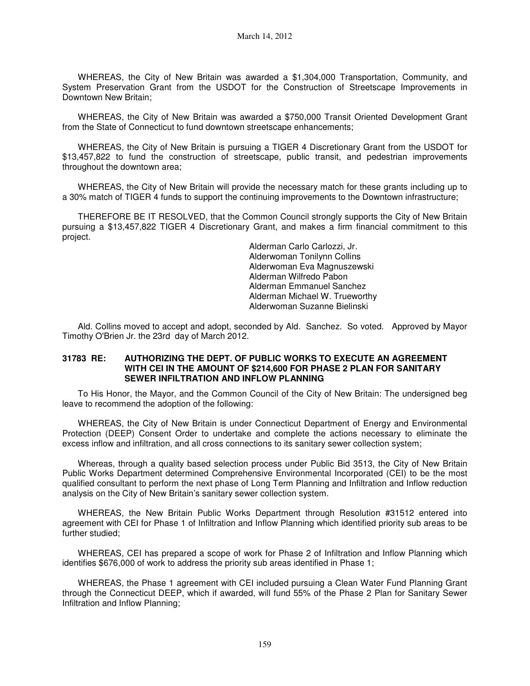WHEREAS, the City of New Britain was awarded a \$1,304,000 Transportation, Community, and System Preservation Grant from the USDOT for the Construction of Streetscape Improvements in Downtown New Britain;

WHEREAS, the City of New Britain was awarded a \$750,000 Transit Oriented Development Grant from the State of Connecticut to fund downtown streetscape enhancements;

WHEREAS, the City of New Britain is pursuing a TIGER 4 Discretionary Grant from the USDOT for \$13,457,822 to fund the construction of streetscape, public transit, and pedestrian improvements throughout the downtown area;

WHEREAS, the City of New Britain will provide the necessary match for these grants including up to a 30% match of TIGER 4 funds to support the continuing improvements to the Downtown infrastructure;

THEREFORE BE IT RESOLVED, that the Common Council strongly supports the City of New Britain pursuing a \$13,457,822 TIGER 4 Discretionary Grant, and makes a firm financial commitment to this project.

> Alderman Carlo Carlozzi, Jr. Alderwoman Tonilynn Collins Alderwoman Eva Magnuszewski Alderman Wilfredo Pabon Alderman Emmanuel Sanchez Alderman Michael W. Trueworthy Alderwoman Suzanne Bielinski

Ald. Collins moved to accept and adopt, seconded by Ald. Sanchez. So voted. Approved by Mayor Timothy O'Brien Jr. the 23rd day of March 2012.

#### **31783 RE: AUTHORIZING THE DEPT. OF PUBLIC WORKS TO EXECUTE AN AGREEMENT WITH CEI IN THE AMOUNT OF \$214,600 FOR PHASE 2 PLAN FOR SANITARY SEWER INFILTRATION AND INFLOW PLANNING**

To His Honor, the Mayor, and the Common Council of the City of New Britain: The undersigned beg leave to recommend the adoption of the following:

WHEREAS, the City of New Britain is under Connecticut Department of Energy and Environmental Protection (DEEP) Consent Order to undertake and complete the actions necessary to eliminate the excess inflow and infiltration, and all cross connections to its sanitary sewer collection system;

Whereas, through a quality based selection process under Public Bid 3513, the City of New Britain Public Works Department determined Comprehensive Environmental Incorporated (CEI) to be the most qualified consultant to perform the next phase of Long Term Planning and Infiltration and Inflow reduction analysis on the City of New Britain's sanitary sewer collection system.

WHEREAS, the New Britain Public Works Department through Resolution #31512 entered into agreement with CEI for Phase 1 of Infiltration and Inflow Planning which identified priority sub areas to be further studied;

WHEREAS, CEI has prepared a scope of work for Phase 2 of Infiltration and Inflow Planning which identifies \$676,000 of work to address the priority sub areas identified in Phase 1;

WHEREAS, the Phase 1 agreement with CEI included pursuing a Clean Water Fund Planning Grant through the Connecticut DEEP, which if awarded, will fund 55% of the Phase 2 Plan for Sanitary Sewer Infiltration and Inflow Planning;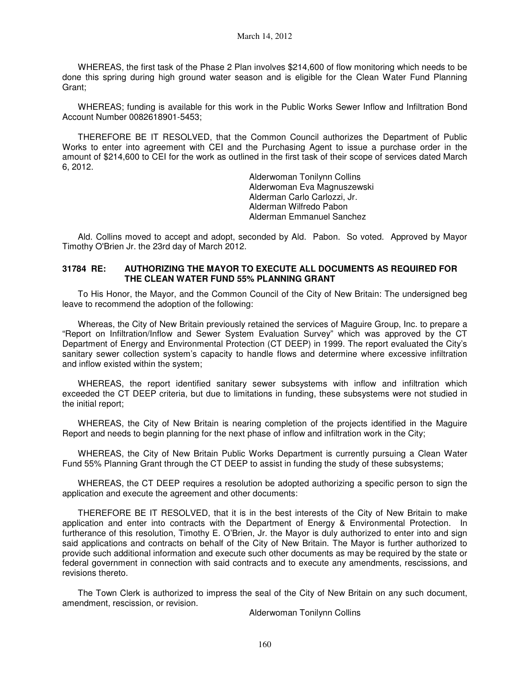WHEREAS, the first task of the Phase 2 Plan involves \$214,600 of flow monitoring which needs to be done this spring during high ground water season and is eligible for the Clean Water Fund Planning Grant;

WHEREAS; funding is available for this work in the Public Works Sewer Inflow and Infiltration Bond Account Number 0082618901-5453;

THEREFORE BE IT RESOLVED, that the Common Council authorizes the Department of Public Works to enter into agreement with CEI and the Purchasing Agent to issue a purchase order in the amount of \$214,600 to CEI for the work as outlined in the first task of their scope of services dated March 6, 2012.

> Alderwoman Tonilynn Collins Alderwoman Eva Magnuszewski Alderman Carlo Carlozzi, Jr. Alderman Wilfredo Pabon Alderman Emmanuel Sanchez

Ald. Collins moved to accept and adopt, seconded by Ald. Pabon. So voted. Approved by Mayor Timothy O'Brien Jr. the 23rd day of March 2012.

#### **31784 RE: AUTHORIZING THE MAYOR TO EXECUTE ALL DOCUMENTS AS REQUIRED FOR THE CLEAN WATER FUND 55% PLANNING GRANT**

To His Honor, the Mayor, and the Common Council of the City of New Britain: The undersigned beg leave to recommend the adoption of the following:

Whereas, the City of New Britain previously retained the services of Maguire Group, Inc. to prepare a "Report on Infiltration/Inflow and Sewer System Evaluation Survey" which was approved by the CT Department of Energy and Environmental Protection (CT DEEP) in 1999. The report evaluated the City's sanitary sewer collection system's capacity to handle flows and determine where excessive infiltration and inflow existed within the system;

WHEREAS, the report identified sanitary sewer subsystems with inflow and infiltration which exceeded the CT DEEP criteria, but due to limitations in funding, these subsystems were not studied in the initial report;

WHEREAS, the City of New Britain is nearing completion of the projects identified in the Maguire Report and needs to begin planning for the next phase of inflow and infiltration work in the City;

WHEREAS, the City of New Britain Public Works Department is currently pursuing a Clean Water Fund 55% Planning Grant through the CT DEEP to assist in funding the study of these subsystems;

WHEREAS, the CT DEEP requires a resolution be adopted authorizing a specific person to sign the application and execute the agreement and other documents:

THEREFORE BE IT RESOLVED, that it is in the best interests of the City of New Britain to make application and enter into contracts with the Department of Energy & Environmental Protection. In furtherance of this resolution, Timothy E. O'Brien, Jr. the Mayor is duly authorized to enter into and sign said applications and contracts on behalf of the City of New Britain. The Mayor is further authorized to provide such additional information and execute such other documents as may be required by the state or federal government in connection with said contracts and to execute any amendments, rescissions, and revisions thereto.

The Town Clerk is authorized to impress the seal of the City of New Britain on any such document, amendment, rescission, or revision.

Alderwoman Tonilynn Collins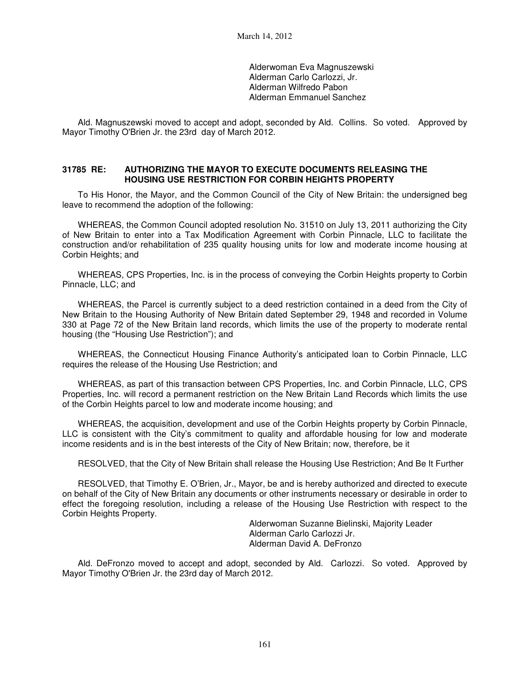Alderwoman Eva Magnuszewski Alderman Carlo Carlozzi, Jr. Alderman Wilfredo Pabon Alderman Emmanuel Sanchez

Ald. Magnuszewski moved to accept and adopt, seconded by Ald. Collins. So voted. Approved by Mayor Timothy O'Brien Jr. the 23rd day of March 2012.

#### **31785 RE: AUTHORIZING THE MAYOR TO EXECUTE DOCUMENTS RELEASING THE HOUSING USE RESTRICTION FOR CORBIN HEIGHTS PROPERTY**

To His Honor, the Mayor, and the Common Council of the City of New Britain: the undersigned beg leave to recommend the adoption of the following:

WHEREAS, the Common Council adopted resolution No. 31510 on July 13, 2011 authorizing the City of New Britain to enter into a Tax Modification Agreement with Corbin Pinnacle, LLC to facilitate the construction and/or rehabilitation of 235 quality housing units for low and moderate income housing at Corbin Heights; and

WHEREAS, CPS Properties, Inc. is in the process of conveying the Corbin Heights property to Corbin Pinnacle, LLC; and

WHEREAS, the Parcel is currently subject to a deed restriction contained in a deed from the City of New Britain to the Housing Authority of New Britain dated September 29, 1948 and recorded in Volume 330 at Page 72 of the New Britain land records, which limits the use of the property to moderate rental housing (the "Housing Use Restriction"); and

WHEREAS, the Connecticut Housing Finance Authority's anticipated loan to Corbin Pinnacle, LLC requires the release of the Housing Use Restriction; and

WHEREAS, as part of this transaction between CPS Properties, Inc. and Corbin Pinnacle, LLC, CPS Properties, Inc. will record a permanent restriction on the New Britain Land Records which limits the use of the Corbin Heights parcel to low and moderate income housing; and

WHEREAS, the acquisition, development and use of the Corbin Heights property by Corbin Pinnacle, LLC is consistent with the City's commitment to quality and affordable housing for low and moderate income residents and is in the best interests of the City of New Britain; now, therefore, be it

RESOLVED, that the City of New Britain shall release the Housing Use Restriction; And Be It Further

RESOLVED, that Timothy E. O'Brien, Jr., Mayor, be and is hereby authorized and directed to execute on behalf of the City of New Britain any documents or other instruments necessary or desirable in order to effect the foregoing resolution, including a release of the Housing Use Restriction with respect to the Corbin Heights Property.

> Alderwoman Suzanne Bielinski, Majority Leader Alderman Carlo Carlozzi Jr. Alderman David A. DeFronzo

Ald. DeFronzo moved to accept and adopt, seconded by Ald. Carlozzi. So voted. Approved by Mayor Timothy O'Brien Jr. the 23rd day of March 2012.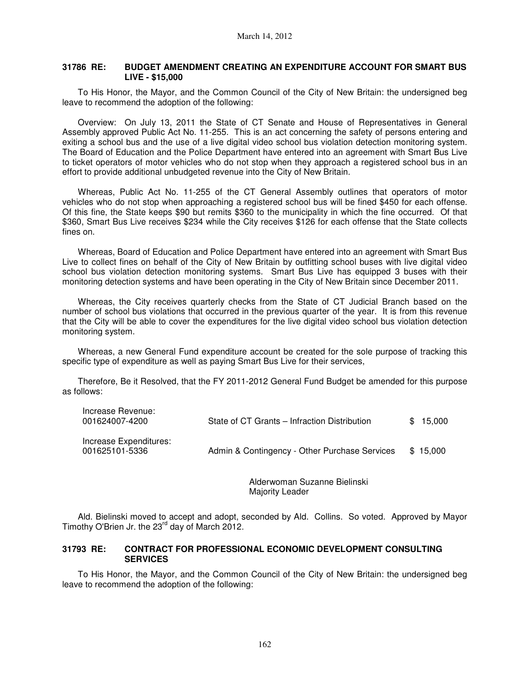#### **31786 RE: BUDGET AMENDMENT CREATING AN EXPENDITURE ACCOUNT FOR SMART BUS LIVE - \$15,000**

To His Honor, the Mayor, and the Common Council of the City of New Britain: the undersigned beg leave to recommend the adoption of the following:

Overview: On July 13, 2011 the State of CT Senate and House of Representatives in General Assembly approved Public Act No. 11-255. This is an act concerning the safety of persons entering and exiting a school bus and the use of a live digital video school bus violation detection monitoring system. The Board of Education and the Police Department have entered into an agreement with Smart Bus Live to ticket operators of motor vehicles who do not stop when they approach a registered school bus in an effort to provide additional unbudgeted revenue into the City of New Britain.

Whereas, Public Act No. 11-255 of the CT General Assembly outlines that operators of motor vehicles who do not stop when approaching a registered school bus will be fined \$450 for each offense. Of this fine, the State keeps \$90 but remits \$360 to the municipality in which the fine occurred. Of that \$360, Smart Bus Live receives \$234 while the City receives \$126 for each offense that the State collects fines on.

Whereas, Board of Education and Police Department have entered into an agreement with Smart Bus Live to collect fines on behalf of the City of New Britain by outfitting school buses with live digital video school bus violation detection monitoring systems. Smart Bus Live has equipped 3 buses with their monitoring detection systems and have been operating in the City of New Britain since December 2011.

Whereas, the City receives quarterly checks from the State of CT Judicial Branch based on the number of school bus violations that occurred in the previous quarter of the year. It is from this revenue that the City will be able to cover the expenditures for the live digital video school bus violation detection monitoring system.

Whereas, a new General Fund expenditure account be created for the sole purpose of tracking this specific type of expenditure as well as paying Smart Bus Live for their services,

Therefore, Be it Resolved, that the FY 2011-2012 General Fund Budget be amended for this purpose as follows:

| Increase Revenue:<br>001624007-4200      | State of CT Grants – Infraction Distribution  | \$15,000 |
|------------------------------------------|-----------------------------------------------|----------|
| Increase Expenditures:<br>001625101-5336 | Admin & Contingency - Other Purchase Services | \$15.000 |

Alderwoman Suzanne Bielinski Majority Leader

Ald. Bielinski moved to accept and adopt, seconded by Ald. Collins. So voted. Approved by Mayor Timothy O'Brien Jr. the 23<sup>rd</sup> day of March 2012.

#### **31793 RE: CONTRACT FOR PROFESSIONAL ECONOMIC DEVELOPMENT CONSULTING SERVICES**

To His Honor, the Mayor, and the Common Council of the City of New Britain: the undersigned beg leave to recommend the adoption of the following: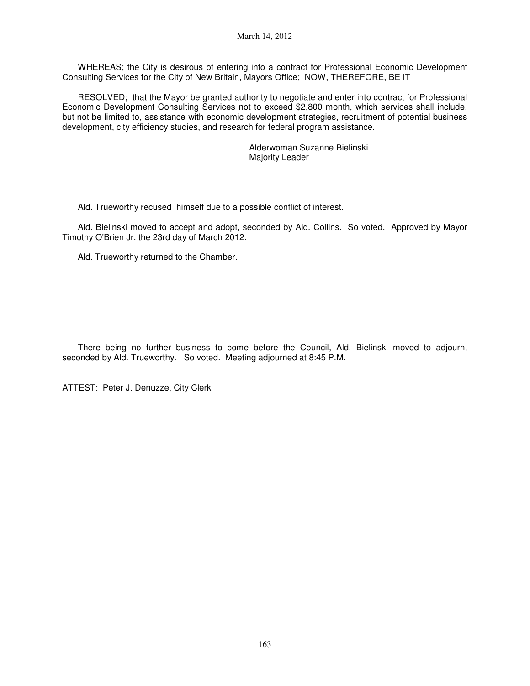WHEREAS; the City is desirous of entering into a contract for Professional Economic Development Consulting Services for the City of New Britain, Mayors Office; NOW, THEREFORE, BE IT

RESOLVED; that the Mayor be granted authority to negotiate and enter into contract for Professional Economic Development Consulting Services not to exceed \$2,800 month, which services shall include, but not be limited to, assistance with economic development strategies, recruitment of potential business development, city efficiency studies, and research for federal program assistance.

> Alderwoman Suzanne Bielinski Majority Leader

Ald. Trueworthy recused himself due to a possible conflict of interest.

Ald. Bielinski moved to accept and adopt, seconded by Ald. Collins. So voted. Approved by Mayor Timothy O'Brien Jr. the 23rd day of March 2012.

Ald. Trueworthy returned to the Chamber.

There being no further business to come before the Council, Ald. Bielinski moved to adjourn, seconded by Ald. Trueworthy. So voted. Meeting adjourned at 8:45 P.M.

ATTEST: Peter J. Denuzze, City Clerk